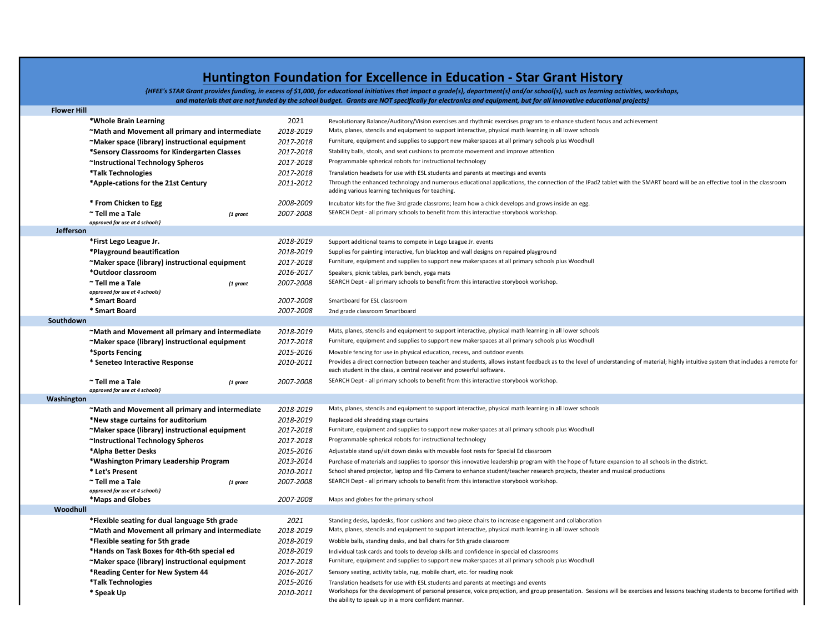## Huntington Foundation for Excellence in Education - Star Grant History

{HFEE's STAR Grant provides funding, in excess of \$1,000, for educational initiatives that impact a grade{s}, department{s} and/or school{s}, such as learning activities, workshops, and materials that are not funded by the school budget. Grants are NOT specifically for electronics and equipment, but for all innovative educational projects}

| <b>Flower Hill</b> |                                                 |           |                                                                                                                                                                                                                                                                      |
|--------------------|-------------------------------------------------|-----------|----------------------------------------------------------------------------------------------------------------------------------------------------------------------------------------------------------------------------------------------------------------------|
|                    | *Whole Brain Learning                           | 2021      | Revolutionary Balance/Auditory/Vision exercises and rhythmic exercises program to enhance student focus and achievement                                                                                                                                              |
|                    | ~Math and Movement all primary and intermediate | 2018-2019 | Mats, planes, stencils and equipment to support interactive, physical math learning in all lower schools                                                                                                                                                             |
|                    | ~Maker space (library) instructional equipment  | 2017-2018 | Furniture, equipment and supplies to support new makerspaces at all primary schools plus Woodhull                                                                                                                                                                    |
|                    | *Sensory Classrooms for Kindergarten Classes    | 2017-2018 | Stability balls, stools, and seat cushions to promote movement and improve attention                                                                                                                                                                                 |
|                    | ~Instructional Technology Spheros               | 2017-2018 | Programmable spherical robots for instructional technology                                                                                                                                                                                                           |
|                    | *Talk Technologies                              | 2017-2018 | Translation headsets for use with ESL students and parents at meetings and events                                                                                                                                                                                    |
|                    | *Apple-cations for the 21st Century             | 2011-2012 | Through the enhanced technology and numerous educational applications, the connection of the IPad2 tablet with the SMART board will be an effective tool in the classroom                                                                                            |
|                    |                                                 |           | adding various learning techniques for teaching.                                                                                                                                                                                                                     |
|                    | * From Chicken to Egg                           | 2008-2009 | Incubator kits for the five 3rd grade classroms; learn how a chick develops and grows inside an egg.                                                                                                                                                                 |
|                    | ~ Tell me a Tale<br>$\{1$ grant                 | 2007-2008 | SEARCH Dept - all primary schools to benefit from this interactive storybook workshop.                                                                                                                                                                               |
|                    | approved for use at 4 schools}                  |           |                                                                                                                                                                                                                                                                      |
| Jefferson          |                                                 |           |                                                                                                                                                                                                                                                                      |
|                    | *First Lego League Jr.                          | 2018-2019 | Support additional teams to compete in Lego League Jr. events                                                                                                                                                                                                        |
|                    | *Playground beautification                      | 2018-2019 | Supplies for painting interactive, fun blacktop and wall designs on repaired playground                                                                                                                                                                              |
|                    | ~Maker space (library) instructional equipment  | 2017-2018 | Furniture, equipment and supplies to support new makerspaces at all primary schools plus Woodhull                                                                                                                                                                    |
|                    | *Outdoor classroom                              | 2016-2017 | Speakers, picnic tables, park bench, yoga mats                                                                                                                                                                                                                       |
|                    | ~ Tell me a Tale<br>$\{1$ grant                 | 2007-2008 | SEARCH Dept - all primary schools to benefit from this interactive storybook workshop.                                                                                                                                                                               |
|                    | approved for use at 4 schools}                  |           |                                                                                                                                                                                                                                                                      |
|                    | * Smart Board                                   | 2007-2008 | Smartboard for ESL classroom                                                                                                                                                                                                                                         |
|                    | * Smart Board                                   | 2007-2008 | 2nd grade classroom Smartboard                                                                                                                                                                                                                                       |
| Southdown          |                                                 |           |                                                                                                                                                                                                                                                                      |
|                    | ~Math and Movement all primary and intermediate | 2018-2019 | Mats, planes, stencils and equipment to support interactive, physical math learning in all lower schools                                                                                                                                                             |
|                    | ~Maker space (library) instructional equipment  | 2017-2018 | Furniture, equipment and supplies to support new makerspaces at all primary schools plus Woodhull                                                                                                                                                                    |
|                    | *Sports Fencing                                 | 2015-2016 | Movable fencing for use in physical education, recess, and outdoor events                                                                                                                                                                                            |
|                    | * Seneteo Interactive Response                  | 2010-2011 | Provides a direct connection between teacher and students, allows instant feedback as to the level of understanding of material; highly intuitive system that includes a remote for<br>each student in the class, a central receiver and powerful software.          |
|                    | ~ Tell me a Tale<br>$\{1\}$ grant               | 2007-2008 | SEARCH Dept - all primary schools to benefit from this interactive storybook workshop.                                                                                                                                                                               |
|                    | approved for use at 4 schools}                  |           |                                                                                                                                                                                                                                                                      |
| Washington         |                                                 |           |                                                                                                                                                                                                                                                                      |
|                    | ~Math and Movement all primary and intermediate | 2018-2019 | Mats, planes, stencils and equipment to support interactive, physical math learning in all lower schools                                                                                                                                                             |
|                    | *New stage curtains for auditorium              | 2018-2019 | Replaced old shredding stage curtains                                                                                                                                                                                                                                |
|                    | ~Maker space (library) instructional equipment  | 2017-2018 | Furniture, equipment and supplies to support new makerspaces at all primary schools plus Woodhull                                                                                                                                                                    |
|                    | ~Instructional Technology Spheros               | 2017-2018 | Programmable spherical robots for instructional technology                                                                                                                                                                                                           |
|                    | *Alpha Better Desks                             | 2015-2016 | Adjustable stand up/sit down desks with movable foot rests for Special Ed classroom                                                                                                                                                                                  |
|                    | *Washington Primary Leadership Program          | 2013-2014 | Purchase of materials and supplies to sponsor this innovative leadership program with the hope of future expansion to all schools in the district.                                                                                                                   |
|                    | * Let's Present                                 | 2010-2011 | School shared projector, laptop and flip Camera to enhance student/teacher research projects, theater and musical productions                                                                                                                                        |
|                    | ~ Tell me a Tale<br>${1 g}$ rant                | 2007-2008 | SEARCH Dept - all primary schools to benefit from this interactive storybook workshop.                                                                                                                                                                               |
|                    | approved for use at 4 schools}                  |           |                                                                                                                                                                                                                                                                      |
| Woodhull           | *Maps and Globes                                | 2007-2008 | Maps and globes for the primary school                                                                                                                                                                                                                               |
|                    | *Flexible seating for dual language 5th grade   | 2021      | Standing desks, lapdesks, floor cushions and two piece chairs to increase engagement and collaboration                                                                                                                                                               |
|                    | ~Math and Movement all primary and intermediate | 2018-2019 | Mats, planes, stencils and equipment to support interactive, physical math learning in all lower schools                                                                                                                                                             |
|                    | *Flexible seating for 5th grade                 | 2018-2019 | Wobble balls, standing desks, and ball chairs for 5th grade classroom                                                                                                                                                                                                |
|                    | *Hands on Task Boxes for 4th-6th special ed     | 2018-2019 |                                                                                                                                                                                                                                                                      |
|                    |                                                 |           | Individual task cards and tools to develop skills and confidence in special ed classrooms<br>Furniture, equipment and supplies to support new makerspaces at all primary schools plus Woodhull                                                                       |
|                    | ~Maker space (library) instructional equipment  | 2017-2018 |                                                                                                                                                                                                                                                                      |
|                    | *Reading Center for New System 44               | 2016-2017 | Sensory seating, activity table, rug, mobile chart, etc. for reading nook                                                                                                                                                                                            |
|                    | *Talk Technologies                              | 2015-2016 | Translation headsets for use with ESL students and parents at meetings and events<br>Workshops for the development of personal presence, voice projection, and group presentation. Sessions will be exercises and lessons teaching students to become fortified with |
|                    | * Speak Up                                      | 2010-2011 | the ability to speak up in a more confident manner.                                                                                                                                                                                                                  |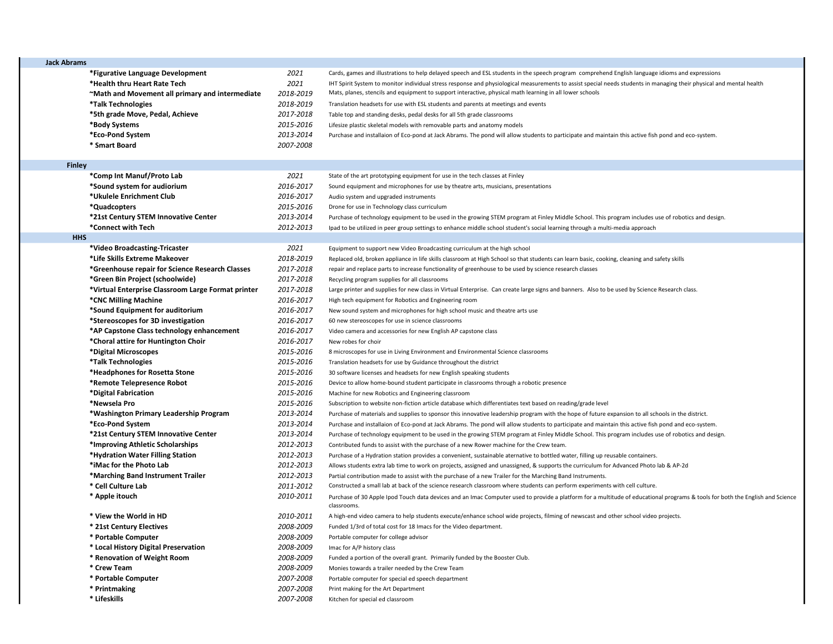| 2021<br>*Figurative Language Development<br>Cards, games and illustrations to help delayed speech and ESL students in the speech program comprehend English language idioms and expressions<br>2021<br>*Health thru Heart Rate Tech<br>IHT Spirit System to monitor individual stress response and physiological measurements to assist special needs students in managing their physical and mental health<br>Mats, planes, stencils and equipment to support interactive, physical math learning in all lower schools<br>"Math and Movement all primary and intermediate<br>2018-2019<br>2018-2019<br>*Talk Technologies<br>Translation headsets for use with ESL students and parents at meetings and events<br>*5th grade Move, Pedal, Achieve<br>2017-2018<br>Table top and standing desks, pedal desks for all 5th grade classrooms<br>2015-2016<br>*Body Systems<br>Lifesize plastic skeletal models with removable parts and anatomy models<br>*Eco-Pond System<br>2013-2014<br>Purchase and installaion of Eco-pond at Jack Abrams. The pond will allow students to participate and maintain this active fish pond and eco-system.<br>* Smart Board<br>2007-2008<br><b>Finley</b><br>2021<br>*Comp Int Manuf/Proto Lab<br>State of the art prototyping equipment for use in the tech classes at Finley<br>*Sound system for audiorium<br>2016-2017<br>Sound equipment and microphones for use by theatre arts, musicians, presentations<br>*Ukulele Enrichment Club<br>2016-2017<br>Audio system and upgraded instruments<br>*Quadcopters<br>2015-2016<br>Drone for use in Technology class curriculum<br>*21st Century STEM Innovative Center<br>2013-2014<br>Purchase of technology equipment to be used in the growing STEM program at Finley Middle School. This program includes use of robotics and design.<br>*Connect with Tech<br>2012-2013<br>Ipad to be utilized in peer group settings to enhance middle school student's social learning through a multi-media approach<br><b>HHS</b><br>2021<br>*Video Broadcasting-Tricaster<br>Equipment to support new Video Broadcasting curriculum at the high school<br>*Life Skills Extreme Makeover<br>2018-2019<br>Replaced old, broken appliance in life skills classroom at High School so that students can learn basic, cooking, cleaning and safety skills<br>2017-2018<br>*Greenhouse repair for Science Research Classes<br>repair and replace parts to increase functionality of greenhouse to be used by science research classes<br>*Green Bin Project (schoolwide)<br>2017-2018<br>Recycling program supplies for all classrooms<br>*Virtual Enterprise Classroom Large Format printer<br>2017-2018<br>Large printer and supplies for new class in Virtual Enterprise. Can create large signs and banners. Also to be used by Science Research class.<br>*CNC Milling Machine<br>2016-2017<br>High tech equipment for Robotics and Engineering room<br>*Sound Equipment for auditorium<br>2016-2017<br>New sound system and microphones for high school music and theatre arts use<br>*Stereoscopes for 3D investigation<br>2016-2017<br>60 new stereoscopes for use in science classrooms<br>*AP Capstone Class technology enhancement<br>2016-2017<br>Video camera and accessories for new English AP capstone class<br>*Choral attire for Huntington Choir<br>2016-2017<br>New robes for choir<br>*Digital Microscopes<br>2015-2016<br>8 microscopes for use in Living Environment and Environmental Science classrooms<br>*Talk Technologies<br>2015-2016<br>Translation headsets for use by Guidance throughout the district<br>2015-2016<br>*Headphones for Rosetta Stone<br>30 software licenses and headsets for new English speaking students<br>*Remote Telepresence Robot<br>2015-2016<br>Device to allow home-bound student participate in classrooms through a robotic presence<br>*Digital Fabrication<br>2015-2016<br>Machine for new Robotics and Engineering classroom<br>2015-2016<br>*Newsela Pro<br>Subscription to website non-fiction article database which differentiates text based on reading/grade level<br>*Washington Primary Leadership Program<br>2013-2014<br>Purchase of materials and supplies to sponsor this innovative leadership program with the hope of future expansion to all schools in the district.<br>*Eco-Pond System<br>2013-2014<br>Purchase and installaion of Eco-pond at Jack Abrams. The pond will allow students to participate and maintain this active fish pond and eco-system.<br>*21st Century STEM Innovative Center<br>2013-2014<br>Purchase of technology equipment to be used in the growing STEM program at Finley Middle School. This program includes use of robotics and design.<br>*Improving Athletic Scholarships<br>2012-2013<br>Contributed funds to assist with the purchase of a new Rower machine for the Crew team.<br>*Hydration Water Filling Station<br>2012-2013<br>Purchase of a Hydration station provides a convenient, sustainable aternative to bottled water, filling up reusable containers.<br>*iMac for the Photo Lab<br>2012-2013<br>Allows students extra lab time to work on projects, assigned and unassigned, & supports the curriculum for Advanced Photo lab & AP-2d<br>*Marching Band Instrument Trailer<br>2012-2013<br>Partial contribution made to assist with the purchase of a new Trailer for the Marching Band Instruments.<br>2011-2012<br>* Cell Culture Lab<br>Constructed a small lab at back of the science research classroom where students can perform experiments with cell culture.<br>* Apple itouch<br>2010-2011<br>Purchase of 30 Apple Ipod Touch data devices and an Imac Computer used to provide a platform for a multitude of educational programs & tools for both the English and Science<br>classrooms.<br>* View the World in HD<br>2010-2011<br>A high-end video camera to help students execute/enhance school wide projects, filming of newscast and other school video projects.<br>2008-2009<br>* 21st Century Electives<br>Funded 1/3rd of total cost for 18 Imacs for the Video department.<br>2008-2009<br>* Portable Computer<br>Portable computer for college advisor<br>* Local History Digital Preservation<br>2008-2009<br>Imac for A/P history class<br>* Renovation of Weight Room<br>2008-2009<br>Funded a portion of the overall grant. Primarily funded by the Booster Club.<br>* Crew Team<br>2008-2009<br>Monies towards a trailer needed by the Crew Team<br>* Portable Computer<br>2007-2008<br>Portable computer for special ed speech department<br>* Printmaking<br>2007-2008<br>Print making for the Art Department<br>* Lifeskills<br>2007-2008<br>Kitchen for special ed classroom | <b>Jack Abrams</b> |  |  |
|-------------------------------------------------------------------------------------------------------------------------------------------------------------------------------------------------------------------------------------------------------------------------------------------------------------------------------------------------------------------------------------------------------------------------------------------------------------------------------------------------------------------------------------------------------------------------------------------------------------------------------------------------------------------------------------------------------------------------------------------------------------------------------------------------------------------------------------------------------------------------------------------------------------------------------------------------------------------------------------------------------------------------------------------------------------------------------------------------------------------------------------------------------------------------------------------------------------------------------------------------------------------------------------------------------------------------------------------------------------------------------------------------------------------------------------------------------------------------------------------------------------------------------------------------------------------------------------------------------------------------------------------------------------------------------------------------------------------------------------------------------------------------------------------------------------------------------------------------------------------------------------------------------------------------------------------------------------------------------------------------------------------------------------------------------------------------------------------------------------------------------------------------------------------------------------------------------------------------------------------------------------------------------------------------------------------------------------------------------------------------------------------------------------------------------------------------------------------------------------------------------------------------------------------------------------------------------------------------------------------------------------------------------------------------------------------------------------------------------------------------------------------------------------------------------------------------------------------------------------------------------------------------------------------------------------------------------------------------------------------------------------------------------------------------------------------------------------------------------------------------------------------------------------------------------------------------------------------------------------------------------------------------------------------------------------------------------------------------------------------------------------------------------------------------------------------------------------------------------------------------------------------------------------------------------------------------------------------------------------------------------------------------------------------------------------------------------------------------------------------------------------------------------------------------------------------------------------------------------------------------------------------------------------------------------------------------------------------------------------------------------------------------------------------------------------------------------------------------------------------------------------------------------------------------------------------------------------------------------------------------------------------------------------------------------------------------------------------------------------------------------------------------------------------------------------------------------------------------------------------------------------------------------------------------------------------------------------------------------------------------------------------------------------------------------------------------------------------------------------------------------------------------------------------------------------------------------------------------------------------------------------------------------------------------------------------------------------------------------------------------------------------------------------------------------------------------------------------------------------------------------------------------------------------------------------------------------------------------------------------------------------------------------------------------------------------------------------------------------------------------------------------------------------------------------------------------------------------------------------------------------------------------------------------------------------------------------------------------------------------------------------------------------------------------------------------------------------------------------------------------------------------------------------------------------------------------------------------------------------------------------------------------------------------------------------------------------------------------------------------------------------------------------------------------------------------------------------------------------------------------------------------------------------------------------------------------------------------------------------------------------------------------------------------------------------------------------------------------------------------------------------------------------------------------------------------------------------------------------------------------------------------------------------------------------------------------------------------------------------------------------------------------------------------------------------------------------------------------|--------------------|--|--|
|                                                                                                                                                                                                                                                                                                                                                                                                                                                                                                                                                                                                                                                                                                                                                                                                                                                                                                                                                                                                                                                                                                                                                                                                                                                                                                                                                                                                                                                                                                                                                                                                                                                                                                                                                                                                                                                                                                                                                                                                                                                                                                                                                                                                                                                                                                                                                                                                                                                                                                                                                                                                                                                                                                                                                                                                                                                                                                                                                                                                                                                                                                                                                                                                                                                                                                                                                                                                                                                                                                                                                                                                                                                                                                                                                                                                                                                                                                                                                                                                                                                                                                                                                                                                                                                                                                                                                                                                                                                                                                                                                                                                                                                                                                                                                                                                                                                                                                                                                                                                                                                                                                                                                                                                                                                                                                                                                                                                                                                                                                                                                                                                                                                                                                                                                                                                                                                                                                                                                                                                                                                                                                                                                                                                                                                                                                                                                                                                                                                                                                                                                                                                                                                                                                                         |                    |  |  |
|                                                                                                                                                                                                                                                                                                                                                                                                                                                                                                                                                                                                                                                                                                                                                                                                                                                                                                                                                                                                                                                                                                                                                                                                                                                                                                                                                                                                                                                                                                                                                                                                                                                                                                                                                                                                                                                                                                                                                                                                                                                                                                                                                                                                                                                                                                                                                                                                                                                                                                                                                                                                                                                                                                                                                                                                                                                                                                                                                                                                                                                                                                                                                                                                                                                                                                                                                                                                                                                                                                                                                                                                                                                                                                                                                                                                                                                                                                                                                                                                                                                                                                                                                                                                                                                                                                                                                                                                                                                                                                                                                                                                                                                                                                                                                                                                                                                                                                                                                                                                                                                                                                                                                                                                                                                                                                                                                                                                                                                                                                                                                                                                                                                                                                                                                                                                                                                                                                                                                                                                                                                                                                                                                                                                                                                                                                                                                                                                                                                                                                                                                                                                                                                                                                                         |                    |  |  |
|                                                                                                                                                                                                                                                                                                                                                                                                                                                                                                                                                                                                                                                                                                                                                                                                                                                                                                                                                                                                                                                                                                                                                                                                                                                                                                                                                                                                                                                                                                                                                                                                                                                                                                                                                                                                                                                                                                                                                                                                                                                                                                                                                                                                                                                                                                                                                                                                                                                                                                                                                                                                                                                                                                                                                                                                                                                                                                                                                                                                                                                                                                                                                                                                                                                                                                                                                                                                                                                                                                                                                                                                                                                                                                                                                                                                                                                                                                                                                                                                                                                                                                                                                                                                                                                                                                                                                                                                                                                                                                                                                                                                                                                                                                                                                                                                                                                                                                                                                                                                                                                                                                                                                                                                                                                                                                                                                                                                                                                                                                                                                                                                                                                                                                                                                                                                                                                                                                                                                                                                                                                                                                                                                                                                                                                                                                                                                                                                                                                                                                                                                                                                                                                                                                                         |                    |  |  |
|                                                                                                                                                                                                                                                                                                                                                                                                                                                                                                                                                                                                                                                                                                                                                                                                                                                                                                                                                                                                                                                                                                                                                                                                                                                                                                                                                                                                                                                                                                                                                                                                                                                                                                                                                                                                                                                                                                                                                                                                                                                                                                                                                                                                                                                                                                                                                                                                                                                                                                                                                                                                                                                                                                                                                                                                                                                                                                                                                                                                                                                                                                                                                                                                                                                                                                                                                                                                                                                                                                                                                                                                                                                                                                                                                                                                                                                                                                                                                                                                                                                                                                                                                                                                                                                                                                                                                                                                                                                                                                                                                                                                                                                                                                                                                                                                                                                                                                                                                                                                                                                                                                                                                                                                                                                                                                                                                                                                                                                                                                                                                                                                                                                                                                                                                                                                                                                                                                                                                                                                                                                                                                                                                                                                                                                                                                                                                                                                                                                                                                                                                                                                                                                                                                                         |                    |  |  |
|                                                                                                                                                                                                                                                                                                                                                                                                                                                                                                                                                                                                                                                                                                                                                                                                                                                                                                                                                                                                                                                                                                                                                                                                                                                                                                                                                                                                                                                                                                                                                                                                                                                                                                                                                                                                                                                                                                                                                                                                                                                                                                                                                                                                                                                                                                                                                                                                                                                                                                                                                                                                                                                                                                                                                                                                                                                                                                                                                                                                                                                                                                                                                                                                                                                                                                                                                                                                                                                                                                                                                                                                                                                                                                                                                                                                                                                                                                                                                                                                                                                                                                                                                                                                                                                                                                                                                                                                                                                                                                                                                                                                                                                                                                                                                                                                                                                                                                                                                                                                                                                                                                                                                                                                                                                                                                                                                                                                                                                                                                                                                                                                                                                                                                                                                                                                                                                                                                                                                                                                                                                                                                                                                                                                                                                                                                                                                                                                                                                                                                                                                                                                                                                                                                                         |                    |  |  |
|                                                                                                                                                                                                                                                                                                                                                                                                                                                                                                                                                                                                                                                                                                                                                                                                                                                                                                                                                                                                                                                                                                                                                                                                                                                                                                                                                                                                                                                                                                                                                                                                                                                                                                                                                                                                                                                                                                                                                                                                                                                                                                                                                                                                                                                                                                                                                                                                                                                                                                                                                                                                                                                                                                                                                                                                                                                                                                                                                                                                                                                                                                                                                                                                                                                                                                                                                                                                                                                                                                                                                                                                                                                                                                                                                                                                                                                                                                                                                                                                                                                                                                                                                                                                                                                                                                                                                                                                                                                                                                                                                                                                                                                                                                                                                                                                                                                                                                                                                                                                                                                                                                                                                                                                                                                                                                                                                                                                                                                                                                                                                                                                                                                                                                                                                                                                                                                                                                                                                                                                                                                                                                                                                                                                                                                                                                                                                                                                                                                                                                                                                                                                                                                                                                                         |                    |  |  |
|                                                                                                                                                                                                                                                                                                                                                                                                                                                                                                                                                                                                                                                                                                                                                                                                                                                                                                                                                                                                                                                                                                                                                                                                                                                                                                                                                                                                                                                                                                                                                                                                                                                                                                                                                                                                                                                                                                                                                                                                                                                                                                                                                                                                                                                                                                                                                                                                                                                                                                                                                                                                                                                                                                                                                                                                                                                                                                                                                                                                                                                                                                                                                                                                                                                                                                                                                                                                                                                                                                                                                                                                                                                                                                                                                                                                                                                                                                                                                                                                                                                                                                                                                                                                                                                                                                                                                                                                                                                                                                                                                                                                                                                                                                                                                                                                                                                                                                                                                                                                                                                                                                                                                                                                                                                                                                                                                                                                                                                                                                                                                                                                                                                                                                                                                                                                                                                                                                                                                                                                                                                                                                                                                                                                                                                                                                                                                                                                                                                                                                                                                                                                                                                                                                                         |                    |  |  |
|                                                                                                                                                                                                                                                                                                                                                                                                                                                                                                                                                                                                                                                                                                                                                                                                                                                                                                                                                                                                                                                                                                                                                                                                                                                                                                                                                                                                                                                                                                                                                                                                                                                                                                                                                                                                                                                                                                                                                                                                                                                                                                                                                                                                                                                                                                                                                                                                                                                                                                                                                                                                                                                                                                                                                                                                                                                                                                                                                                                                                                                                                                                                                                                                                                                                                                                                                                                                                                                                                                                                                                                                                                                                                                                                                                                                                                                                                                                                                                                                                                                                                                                                                                                                                                                                                                                                                                                                                                                                                                                                                                                                                                                                                                                                                                                                                                                                                                                                                                                                                                                                                                                                                                                                                                                                                                                                                                                                                                                                                                                                                                                                                                                                                                                                                                                                                                                                                                                                                                                                                                                                                                                                                                                                                                                                                                                                                                                                                                                                                                                                                                                                                                                                                                                         |                    |  |  |
|                                                                                                                                                                                                                                                                                                                                                                                                                                                                                                                                                                                                                                                                                                                                                                                                                                                                                                                                                                                                                                                                                                                                                                                                                                                                                                                                                                                                                                                                                                                                                                                                                                                                                                                                                                                                                                                                                                                                                                                                                                                                                                                                                                                                                                                                                                                                                                                                                                                                                                                                                                                                                                                                                                                                                                                                                                                                                                                                                                                                                                                                                                                                                                                                                                                                                                                                                                                                                                                                                                                                                                                                                                                                                                                                                                                                                                                                                                                                                                                                                                                                                                                                                                                                                                                                                                                                                                                                                                                                                                                                                                                                                                                                                                                                                                                                                                                                                                                                                                                                                                                                                                                                                                                                                                                                                                                                                                                                                                                                                                                                                                                                                                                                                                                                                                                                                                                                                                                                                                                                                                                                                                                                                                                                                                                                                                                                                                                                                                                                                                                                                                                                                                                                                                                         |                    |  |  |
|                                                                                                                                                                                                                                                                                                                                                                                                                                                                                                                                                                                                                                                                                                                                                                                                                                                                                                                                                                                                                                                                                                                                                                                                                                                                                                                                                                                                                                                                                                                                                                                                                                                                                                                                                                                                                                                                                                                                                                                                                                                                                                                                                                                                                                                                                                                                                                                                                                                                                                                                                                                                                                                                                                                                                                                                                                                                                                                                                                                                                                                                                                                                                                                                                                                                                                                                                                                                                                                                                                                                                                                                                                                                                                                                                                                                                                                                                                                                                                                                                                                                                                                                                                                                                                                                                                                                                                                                                                                                                                                                                                                                                                                                                                                                                                                                                                                                                                                                                                                                                                                                                                                                                                                                                                                                                                                                                                                                                                                                                                                                                                                                                                                                                                                                                                                                                                                                                                                                                                                                                                                                                                                                                                                                                                                                                                                                                                                                                                                                                                                                                                                                                                                                                                                         |                    |  |  |
|                                                                                                                                                                                                                                                                                                                                                                                                                                                                                                                                                                                                                                                                                                                                                                                                                                                                                                                                                                                                                                                                                                                                                                                                                                                                                                                                                                                                                                                                                                                                                                                                                                                                                                                                                                                                                                                                                                                                                                                                                                                                                                                                                                                                                                                                                                                                                                                                                                                                                                                                                                                                                                                                                                                                                                                                                                                                                                                                                                                                                                                                                                                                                                                                                                                                                                                                                                                                                                                                                                                                                                                                                                                                                                                                                                                                                                                                                                                                                                                                                                                                                                                                                                                                                                                                                                                                                                                                                                                                                                                                                                                                                                                                                                                                                                                                                                                                                                                                                                                                                                                                                                                                                                                                                                                                                                                                                                                                                                                                                                                                                                                                                                                                                                                                                                                                                                                                                                                                                                                                                                                                                                                                                                                                                                                                                                                                                                                                                                                                                                                                                                                                                                                                                                                         |                    |  |  |
|                                                                                                                                                                                                                                                                                                                                                                                                                                                                                                                                                                                                                                                                                                                                                                                                                                                                                                                                                                                                                                                                                                                                                                                                                                                                                                                                                                                                                                                                                                                                                                                                                                                                                                                                                                                                                                                                                                                                                                                                                                                                                                                                                                                                                                                                                                                                                                                                                                                                                                                                                                                                                                                                                                                                                                                                                                                                                                                                                                                                                                                                                                                                                                                                                                                                                                                                                                                                                                                                                                                                                                                                                                                                                                                                                                                                                                                                                                                                                                                                                                                                                                                                                                                                                                                                                                                                                                                                                                                                                                                                                                                                                                                                                                                                                                                                                                                                                                                                                                                                                                                                                                                                                                                                                                                                                                                                                                                                                                                                                                                                                                                                                                                                                                                                                                                                                                                                                                                                                                                                                                                                                                                                                                                                                                                                                                                                                                                                                                                                                                                                                                                                                                                                                                                         |                    |  |  |
|                                                                                                                                                                                                                                                                                                                                                                                                                                                                                                                                                                                                                                                                                                                                                                                                                                                                                                                                                                                                                                                                                                                                                                                                                                                                                                                                                                                                                                                                                                                                                                                                                                                                                                                                                                                                                                                                                                                                                                                                                                                                                                                                                                                                                                                                                                                                                                                                                                                                                                                                                                                                                                                                                                                                                                                                                                                                                                                                                                                                                                                                                                                                                                                                                                                                                                                                                                                                                                                                                                                                                                                                                                                                                                                                                                                                                                                                                                                                                                                                                                                                                                                                                                                                                                                                                                                                                                                                                                                                                                                                                                                                                                                                                                                                                                                                                                                                                                                                                                                                                                                                                                                                                                                                                                                                                                                                                                                                                                                                                                                                                                                                                                                                                                                                                                                                                                                                                                                                                                                                                                                                                                                                                                                                                                                                                                                                                                                                                                                                                                                                                                                                                                                                                                                         |                    |  |  |
|                                                                                                                                                                                                                                                                                                                                                                                                                                                                                                                                                                                                                                                                                                                                                                                                                                                                                                                                                                                                                                                                                                                                                                                                                                                                                                                                                                                                                                                                                                                                                                                                                                                                                                                                                                                                                                                                                                                                                                                                                                                                                                                                                                                                                                                                                                                                                                                                                                                                                                                                                                                                                                                                                                                                                                                                                                                                                                                                                                                                                                                                                                                                                                                                                                                                                                                                                                                                                                                                                                                                                                                                                                                                                                                                                                                                                                                                                                                                                                                                                                                                                                                                                                                                                                                                                                                                                                                                                                                                                                                                                                                                                                                                                                                                                                                                                                                                                                                                                                                                                                                                                                                                                                                                                                                                                                                                                                                                                                                                                                                                                                                                                                                                                                                                                                                                                                                                                                                                                                                                                                                                                                                                                                                                                                                                                                                                                                                                                                                                                                                                                                                                                                                                                                                         |                    |  |  |
|                                                                                                                                                                                                                                                                                                                                                                                                                                                                                                                                                                                                                                                                                                                                                                                                                                                                                                                                                                                                                                                                                                                                                                                                                                                                                                                                                                                                                                                                                                                                                                                                                                                                                                                                                                                                                                                                                                                                                                                                                                                                                                                                                                                                                                                                                                                                                                                                                                                                                                                                                                                                                                                                                                                                                                                                                                                                                                                                                                                                                                                                                                                                                                                                                                                                                                                                                                                                                                                                                                                                                                                                                                                                                                                                                                                                                                                                                                                                                                                                                                                                                                                                                                                                                                                                                                                                                                                                                                                                                                                                                                                                                                                                                                                                                                                                                                                                                                                                                                                                                                                                                                                                                                                                                                                                                                                                                                                                                                                                                                                                                                                                                                                                                                                                                                                                                                                                                                                                                                                                                                                                                                                                                                                                                                                                                                                                                                                                                                                                                                                                                                                                                                                                                                                         |                    |  |  |
|                                                                                                                                                                                                                                                                                                                                                                                                                                                                                                                                                                                                                                                                                                                                                                                                                                                                                                                                                                                                                                                                                                                                                                                                                                                                                                                                                                                                                                                                                                                                                                                                                                                                                                                                                                                                                                                                                                                                                                                                                                                                                                                                                                                                                                                                                                                                                                                                                                                                                                                                                                                                                                                                                                                                                                                                                                                                                                                                                                                                                                                                                                                                                                                                                                                                                                                                                                                                                                                                                                                                                                                                                                                                                                                                                                                                                                                                                                                                                                                                                                                                                                                                                                                                                                                                                                                                                                                                                                                                                                                                                                                                                                                                                                                                                                                                                                                                                                                                                                                                                                                                                                                                                                                                                                                                                                                                                                                                                                                                                                                                                                                                                                                                                                                                                                                                                                                                                                                                                                                                                                                                                                                                                                                                                                                                                                                                                                                                                                                                                                                                                                                                                                                                                                                         |                    |  |  |
|                                                                                                                                                                                                                                                                                                                                                                                                                                                                                                                                                                                                                                                                                                                                                                                                                                                                                                                                                                                                                                                                                                                                                                                                                                                                                                                                                                                                                                                                                                                                                                                                                                                                                                                                                                                                                                                                                                                                                                                                                                                                                                                                                                                                                                                                                                                                                                                                                                                                                                                                                                                                                                                                                                                                                                                                                                                                                                                                                                                                                                                                                                                                                                                                                                                                                                                                                                                                                                                                                                                                                                                                                                                                                                                                                                                                                                                                                                                                                                                                                                                                                                                                                                                                                                                                                                                                                                                                                                                                                                                                                                                                                                                                                                                                                                                                                                                                                                                                                                                                                                                                                                                                                                                                                                                                                                                                                                                                                                                                                                                                                                                                                                                                                                                                                                                                                                                                                                                                                                                                                                                                                                                                                                                                                                                                                                                                                                                                                                                                                                                                                                                                                                                                                                                         |                    |  |  |
|                                                                                                                                                                                                                                                                                                                                                                                                                                                                                                                                                                                                                                                                                                                                                                                                                                                                                                                                                                                                                                                                                                                                                                                                                                                                                                                                                                                                                                                                                                                                                                                                                                                                                                                                                                                                                                                                                                                                                                                                                                                                                                                                                                                                                                                                                                                                                                                                                                                                                                                                                                                                                                                                                                                                                                                                                                                                                                                                                                                                                                                                                                                                                                                                                                                                                                                                                                                                                                                                                                                                                                                                                                                                                                                                                                                                                                                                                                                                                                                                                                                                                                                                                                                                                                                                                                                                                                                                                                                                                                                                                                                                                                                                                                                                                                                                                                                                                                                                                                                                                                                                                                                                                                                                                                                                                                                                                                                                                                                                                                                                                                                                                                                                                                                                                                                                                                                                                                                                                                                                                                                                                                                                                                                                                                                                                                                                                                                                                                                                                                                                                                                                                                                                                                                         |                    |  |  |
|                                                                                                                                                                                                                                                                                                                                                                                                                                                                                                                                                                                                                                                                                                                                                                                                                                                                                                                                                                                                                                                                                                                                                                                                                                                                                                                                                                                                                                                                                                                                                                                                                                                                                                                                                                                                                                                                                                                                                                                                                                                                                                                                                                                                                                                                                                                                                                                                                                                                                                                                                                                                                                                                                                                                                                                                                                                                                                                                                                                                                                                                                                                                                                                                                                                                                                                                                                                                                                                                                                                                                                                                                                                                                                                                                                                                                                                                                                                                                                                                                                                                                                                                                                                                                                                                                                                                                                                                                                                                                                                                                                                                                                                                                                                                                                                                                                                                                                                                                                                                                                                                                                                                                                                                                                                                                                                                                                                                                                                                                                                                                                                                                                                                                                                                                                                                                                                                                                                                                                                                                                                                                                                                                                                                                                                                                                                                                                                                                                                                                                                                                                                                                                                                                                                         |                    |  |  |
|                                                                                                                                                                                                                                                                                                                                                                                                                                                                                                                                                                                                                                                                                                                                                                                                                                                                                                                                                                                                                                                                                                                                                                                                                                                                                                                                                                                                                                                                                                                                                                                                                                                                                                                                                                                                                                                                                                                                                                                                                                                                                                                                                                                                                                                                                                                                                                                                                                                                                                                                                                                                                                                                                                                                                                                                                                                                                                                                                                                                                                                                                                                                                                                                                                                                                                                                                                                                                                                                                                                                                                                                                                                                                                                                                                                                                                                                                                                                                                                                                                                                                                                                                                                                                                                                                                                                                                                                                                                                                                                                                                                                                                                                                                                                                                                                                                                                                                                                                                                                                                                                                                                                                                                                                                                                                                                                                                                                                                                                                                                                                                                                                                                                                                                                                                                                                                                                                                                                                                                                                                                                                                                                                                                                                                                                                                                                                                                                                                                                                                                                                                                                                                                                                                                         |                    |  |  |
|                                                                                                                                                                                                                                                                                                                                                                                                                                                                                                                                                                                                                                                                                                                                                                                                                                                                                                                                                                                                                                                                                                                                                                                                                                                                                                                                                                                                                                                                                                                                                                                                                                                                                                                                                                                                                                                                                                                                                                                                                                                                                                                                                                                                                                                                                                                                                                                                                                                                                                                                                                                                                                                                                                                                                                                                                                                                                                                                                                                                                                                                                                                                                                                                                                                                                                                                                                                                                                                                                                                                                                                                                                                                                                                                                                                                                                                                                                                                                                                                                                                                                                                                                                                                                                                                                                                                                                                                                                                                                                                                                                                                                                                                                                                                                                                                                                                                                                                                                                                                                                                                                                                                                                                                                                                                                                                                                                                                                                                                                                                                                                                                                                                                                                                                                                                                                                                                                                                                                                                                                                                                                                                                                                                                                                                                                                                                                                                                                                                                                                                                                                                                                                                                                                                         |                    |  |  |
|                                                                                                                                                                                                                                                                                                                                                                                                                                                                                                                                                                                                                                                                                                                                                                                                                                                                                                                                                                                                                                                                                                                                                                                                                                                                                                                                                                                                                                                                                                                                                                                                                                                                                                                                                                                                                                                                                                                                                                                                                                                                                                                                                                                                                                                                                                                                                                                                                                                                                                                                                                                                                                                                                                                                                                                                                                                                                                                                                                                                                                                                                                                                                                                                                                                                                                                                                                                                                                                                                                                                                                                                                                                                                                                                                                                                                                                                                                                                                                                                                                                                                                                                                                                                                                                                                                                                                                                                                                                                                                                                                                                                                                                                                                                                                                                                                                                                                                                                                                                                                                                                                                                                                                                                                                                                                                                                                                                                                                                                                                                                                                                                                                                                                                                                                                                                                                                                                                                                                                                                                                                                                                                                                                                                                                                                                                                                                                                                                                                                                                                                                                                                                                                                                                                         |                    |  |  |
|                                                                                                                                                                                                                                                                                                                                                                                                                                                                                                                                                                                                                                                                                                                                                                                                                                                                                                                                                                                                                                                                                                                                                                                                                                                                                                                                                                                                                                                                                                                                                                                                                                                                                                                                                                                                                                                                                                                                                                                                                                                                                                                                                                                                                                                                                                                                                                                                                                                                                                                                                                                                                                                                                                                                                                                                                                                                                                                                                                                                                                                                                                                                                                                                                                                                                                                                                                                                                                                                                                                                                                                                                                                                                                                                                                                                                                                                                                                                                                                                                                                                                                                                                                                                                                                                                                                                                                                                                                                                                                                                                                                                                                                                                                                                                                                                                                                                                                                                                                                                                                                                                                                                                                                                                                                                                                                                                                                                                                                                                                                                                                                                                                                                                                                                                                                                                                                                                                                                                                                                                                                                                                                                                                                                                                                                                                                                                                                                                                                                                                                                                                                                                                                                                                                         |                    |  |  |
|                                                                                                                                                                                                                                                                                                                                                                                                                                                                                                                                                                                                                                                                                                                                                                                                                                                                                                                                                                                                                                                                                                                                                                                                                                                                                                                                                                                                                                                                                                                                                                                                                                                                                                                                                                                                                                                                                                                                                                                                                                                                                                                                                                                                                                                                                                                                                                                                                                                                                                                                                                                                                                                                                                                                                                                                                                                                                                                                                                                                                                                                                                                                                                                                                                                                                                                                                                                                                                                                                                                                                                                                                                                                                                                                                                                                                                                                                                                                                                                                                                                                                                                                                                                                                                                                                                                                                                                                                                                                                                                                                                                                                                                                                                                                                                                                                                                                                                                                                                                                                                                                                                                                                                                                                                                                                                                                                                                                                                                                                                                                                                                                                                                                                                                                                                                                                                                                                                                                                                                                                                                                                                                                                                                                                                                                                                                                                                                                                                                                                                                                                                                                                                                                                                                         |                    |  |  |
|                                                                                                                                                                                                                                                                                                                                                                                                                                                                                                                                                                                                                                                                                                                                                                                                                                                                                                                                                                                                                                                                                                                                                                                                                                                                                                                                                                                                                                                                                                                                                                                                                                                                                                                                                                                                                                                                                                                                                                                                                                                                                                                                                                                                                                                                                                                                                                                                                                                                                                                                                                                                                                                                                                                                                                                                                                                                                                                                                                                                                                                                                                                                                                                                                                                                                                                                                                                                                                                                                                                                                                                                                                                                                                                                                                                                                                                                                                                                                                                                                                                                                                                                                                                                                                                                                                                                                                                                                                                                                                                                                                                                                                                                                                                                                                                                                                                                                                                                                                                                                                                                                                                                                                                                                                                                                                                                                                                                                                                                                                                                                                                                                                                                                                                                                                                                                                                                                                                                                                                                                                                                                                                                                                                                                                                                                                                                                                                                                                                                                                                                                                                                                                                                                                                         |                    |  |  |
|                                                                                                                                                                                                                                                                                                                                                                                                                                                                                                                                                                                                                                                                                                                                                                                                                                                                                                                                                                                                                                                                                                                                                                                                                                                                                                                                                                                                                                                                                                                                                                                                                                                                                                                                                                                                                                                                                                                                                                                                                                                                                                                                                                                                                                                                                                                                                                                                                                                                                                                                                                                                                                                                                                                                                                                                                                                                                                                                                                                                                                                                                                                                                                                                                                                                                                                                                                                                                                                                                                                                                                                                                                                                                                                                                                                                                                                                                                                                                                                                                                                                                                                                                                                                                                                                                                                                                                                                                                                                                                                                                                                                                                                                                                                                                                                                                                                                                                                                                                                                                                                                                                                                                                                                                                                                                                                                                                                                                                                                                                                                                                                                                                                                                                                                                                                                                                                                                                                                                                                                                                                                                                                                                                                                                                                                                                                                                                                                                                                                                                                                                                                                                                                                                                                         |                    |  |  |
|                                                                                                                                                                                                                                                                                                                                                                                                                                                                                                                                                                                                                                                                                                                                                                                                                                                                                                                                                                                                                                                                                                                                                                                                                                                                                                                                                                                                                                                                                                                                                                                                                                                                                                                                                                                                                                                                                                                                                                                                                                                                                                                                                                                                                                                                                                                                                                                                                                                                                                                                                                                                                                                                                                                                                                                                                                                                                                                                                                                                                                                                                                                                                                                                                                                                                                                                                                                                                                                                                                                                                                                                                                                                                                                                                                                                                                                                                                                                                                                                                                                                                                                                                                                                                                                                                                                                                                                                                                                                                                                                                                                                                                                                                                                                                                                                                                                                                                                                                                                                                                                                                                                                                                                                                                                                                                                                                                                                                                                                                                                                                                                                                                                                                                                                                                                                                                                                                                                                                                                                                                                                                                                                                                                                                                                                                                                                                                                                                                                                                                                                                                                                                                                                                                                         |                    |  |  |
|                                                                                                                                                                                                                                                                                                                                                                                                                                                                                                                                                                                                                                                                                                                                                                                                                                                                                                                                                                                                                                                                                                                                                                                                                                                                                                                                                                                                                                                                                                                                                                                                                                                                                                                                                                                                                                                                                                                                                                                                                                                                                                                                                                                                                                                                                                                                                                                                                                                                                                                                                                                                                                                                                                                                                                                                                                                                                                                                                                                                                                                                                                                                                                                                                                                                                                                                                                                                                                                                                                                                                                                                                                                                                                                                                                                                                                                                                                                                                                                                                                                                                                                                                                                                                                                                                                                                                                                                                                                                                                                                                                                                                                                                                                                                                                                                                                                                                                                                                                                                                                                                                                                                                                                                                                                                                                                                                                                                                                                                                                                                                                                                                                                                                                                                                                                                                                                                                                                                                                                                                                                                                                                                                                                                                                                                                                                                                                                                                                                                                                                                                                                                                                                                                                                         |                    |  |  |
|                                                                                                                                                                                                                                                                                                                                                                                                                                                                                                                                                                                                                                                                                                                                                                                                                                                                                                                                                                                                                                                                                                                                                                                                                                                                                                                                                                                                                                                                                                                                                                                                                                                                                                                                                                                                                                                                                                                                                                                                                                                                                                                                                                                                                                                                                                                                                                                                                                                                                                                                                                                                                                                                                                                                                                                                                                                                                                                                                                                                                                                                                                                                                                                                                                                                                                                                                                                                                                                                                                                                                                                                                                                                                                                                                                                                                                                                                                                                                                                                                                                                                                                                                                                                                                                                                                                                                                                                                                                                                                                                                                                                                                                                                                                                                                                                                                                                                                                                                                                                                                                                                                                                                                                                                                                                                                                                                                                                                                                                                                                                                                                                                                                                                                                                                                                                                                                                                                                                                                                                                                                                                                                                                                                                                                                                                                                                                                                                                                                                                                                                                                                                                                                                                                                         |                    |  |  |
|                                                                                                                                                                                                                                                                                                                                                                                                                                                                                                                                                                                                                                                                                                                                                                                                                                                                                                                                                                                                                                                                                                                                                                                                                                                                                                                                                                                                                                                                                                                                                                                                                                                                                                                                                                                                                                                                                                                                                                                                                                                                                                                                                                                                                                                                                                                                                                                                                                                                                                                                                                                                                                                                                                                                                                                                                                                                                                                                                                                                                                                                                                                                                                                                                                                                                                                                                                                                                                                                                                                                                                                                                                                                                                                                                                                                                                                                                                                                                                                                                                                                                                                                                                                                                                                                                                                                                                                                                                                                                                                                                                                                                                                                                                                                                                                                                                                                                                                                                                                                                                                                                                                                                                                                                                                                                                                                                                                                                                                                                                                                                                                                                                                                                                                                                                                                                                                                                                                                                                                                                                                                                                                                                                                                                                                                                                                                                                                                                                                                                                                                                                                                                                                                                                                         |                    |  |  |
|                                                                                                                                                                                                                                                                                                                                                                                                                                                                                                                                                                                                                                                                                                                                                                                                                                                                                                                                                                                                                                                                                                                                                                                                                                                                                                                                                                                                                                                                                                                                                                                                                                                                                                                                                                                                                                                                                                                                                                                                                                                                                                                                                                                                                                                                                                                                                                                                                                                                                                                                                                                                                                                                                                                                                                                                                                                                                                                                                                                                                                                                                                                                                                                                                                                                                                                                                                                                                                                                                                                                                                                                                                                                                                                                                                                                                                                                                                                                                                                                                                                                                                                                                                                                                                                                                                                                                                                                                                                                                                                                                                                                                                                                                                                                                                                                                                                                                                                                                                                                                                                                                                                                                                                                                                                                                                                                                                                                                                                                                                                                                                                                                                                                                                                                                                                                                                                                                                                                                                                                                                                                                                                                                                                                                                                                                                                                                                                                                                                                                                                                                                                                                                                                                                                         |                    |  |  |
|                                                                                                                                                                                                                                                                                                                                                                                                                                                                                                                                                                                                                                                                                                                                                                                                                                                                                                                                                                                                                                                                                                                                                                                                                                                                                                                                                                                                                                                                                                                                                                                                                                                                                                                                                                                                                                                                                                                                                                                                                                                                                                                                                                                                                                                                                                                                                                                                                                                                                                                                                                                                                                                                                                                                                                                                                                                                                                                                                                                                                                                                                                                                                                                                                                                                                                                                                                                                                                                                                                                                                                                                                                                                                                                                                                                                                                                                                                                                                                                                                                                                                                                                                                                                                                                                                                                                                                                                                                                                                                                                                                                                                                                                                                                                                                                                                                                                                                                                                                                                                                                                                                                                                                                                                                                                                                                                                                                                                                                                                                                                                                                                                                                                                                                                                                                                                                                                                                                                                                                                                                                                                                                                                                                                                                                                                                                                                                                                                                                                                                                                                                                                                                                                                                                         |                    |  |  |
|                                                                                                                                                                                                                                                                                                                                                                                                                                                                                                                                                                                                                                                                                                                                                                                                                                                                                                                                                                                                                                                                                                                                                                                                                                                                                                                                                                                                                                                                                                                                                                                                                                                                                                                                                                                                                                                                                                                                                                                                                                                                                                                                                                                                                                                                                                                                                                                                                                                                                                                                                                                                                                                                                                                                                                                                                                                                                                                                                                                                                                                                                                                                                                                                                                                                                                                                                                                                                                                                                                                                                                                                                                                                                                                                                                                                                                                                                                                                                                                                                                                                                                                                                                                                                                                                                                                                                                                                                                                                                                                                                                                                                                                                                                                                                                                                                                                                                                                                                                                                                                                                                                                                                                                                                                                                                                                                                                                                                                                                                                                                                                                                                                                                                                                                                                                                                                                                                                                                                                                                                                                                                                                                                                                                                                                                                                                                                                                                                                                                                                                                                                                                                                                                                                                         |                    |  |  |
|                                                                                                                                                                                                                                                                                                                                                                                                                                                                                                                                                                                                                                                                                                                                                                                                                                                                                                                                                                                                                                                                                                                                                                                                                                                                                                                                                                                                                                                                                                                                                                                                                                                                                                                                                                                                                                                                                                                                                                                                                                                                                                                                                                                                                                                                                                                                                                                                                                                                                                                                                                                                                                                                                                                                                                                                                                                                                                                                                                                                                                                                                                                                                                                                                                                                                                                                                                                                                                                                                                                                                                                                                                                                                                                                                                                                                                                                                                                                                                                                                                                                                                                                                                                                                                                                                                                                                                                                                                                                                                                                                                                                                                                                                                                                                                                                                                                                                                                                                                                                                                                                                                                                                                                                                                                                                                                                                                                                                                                                                                                                                                                                                                                                                                                                                                                                                                                                                                                                                                                                                                                                                                                                                                                                                                                                                                                                                                                                                                                                                                                                                                                                                                                                                                                         |                    |  |  |
|                                                                                                                                                                                                                                                                                                                                                                                                                                                                                                                                                                                                                                                                                                                                                                                                                                                                                                                                                                                                                                                                                                                                                                                                                                                                                                                                                                                                                                                                                                                                                                                                                                                                                                                                                                                                                                                                                                                                                                                                                                                                                                                                                                                                                                                                                                                                                                                                                                                                                                                                                                                                                                                                                                                                                                                                                                                                                                                                                                                                                                                                                                                                                                                                                                                                                                                                                                                                                                                                                                                                                                                                                                                                                                                                                                                                                                                                                                                                                                                                                                                                                                                                                                                                                                                                                                                                                                                                                                                                                                                                                                                                                                                                                                                                                                                                                                                                                                                                                                                                                                                                                                                                                                                                                                                                                                                                                                                                                                                                                                                                                                                                                                                                                                                                                                                                                                                                                                                                                                                                                                                                                                                                                                                                                                                                                                                                                                                                                                                                                                                                                                                                                                                                                                                         |                    |  |  |
|                                                                                                                                                                                                                                                                                                                                                                                                                                                                                                                                                                                                                                                                                                                                                                                                                                                                                                                                                                                                                                                                                                                                                                                                                                                                                                                                                                                                                                                                                                                                                                                                                                                                                                                                                                                                                                                                                                                                                                                                                                                                                                                                                                                                                                                                                                                                                                                                                                                                                                                                                                                                                                                                                                                                                                                                                                                                                                                                                                                                                                                                                                                                                                                                                                                                                                                                                                                                                                                                                                                                                                                                                                                                                                                                                                                                                                                                                                                                                                                                                                                                                                                                                                                                                                                                                                                                                                                                                                                                                                                                                                                                                                                                                                                                                                                                                                                                                                                                                                                                                                                                                                                                                                                                                                                                                                                                                                                                                                                                                                                                                                                                                                                                                                                                                                                                                                                                                                                                                                                                                                                                                                                                                                                                                                                                                                                                                                                                                                                                                                                                                                                                                                                                                                                         |                    |  |  |
|                                                                                                                                                                                                                                                                                                                                                                                                                                                                                                                                                                                                                                                                                                                                                                                                                                                                                                                                                                                                                                                                                                                                                                                                                                                                                                                                                                                                                                                                                                                                                                                                                                                                                                                                                                                                                                                                                                                                                                                                                                                                                                                                                                                                                                                                                                                                                                                                                                                                                                                                                                                                                                                                                                                                                                                                                                                                                                                                                                                                                                                                                                                                                                                                                                                                                                                                                                                                                                                                                                                                                                                                                                                                                                                                                                                                                                                                                                                                                                                                                                                                                                                                                                                                                                                                                                                                                                                                                                                                                                                                                                                                                                                                                                                                                                                                                                                                                                                                                                                                                                                                                                                                                                                                                                                                                                                                                                                                                                                                                                                                                                                                                                                                                                                                                                                                                                                                                                                                                                                                                                                                                                                                                                                                                                                                                                                                                                                                                                                                                                                                                                                                                                                                                                                         |                    |  |  |
|                                                                                                                                                                                                                                                                                                                                                                                                                                                                                                                                                                                                                                                                                                                                                                                                                                                                                                                                                                                                                                                                                                                                                                                                                                                                                                                                                                                                                                                                                                                                                                                                                                                                                                                                                                                                                                                                                                                                                                                                                                                                                                                                                                                                                                                                                                                                                                                                                                                                                                                                                                                                                                                                                                                                                                                                                                                                                                                                                                                                                                                                                                                                                                                                                                                                                                                                                                                                                                                                                                                                                                                                                                                                                                                                                                                                                                                                                                                                                                                                                                                                                                                                                                                                                                                                                                                                                                                                                                                                                                                                                                                                                                                                                                                                                                                                                                                                                                                                                                                                                                                                                                                                                                                                                                                                                                                                                                                                                                                                                                                                                                                                                                                                                                                                                                                                                                                                                                                                                                                                                                                                                                                                                                                                                                                                                                                                                                                                                                                                                                                                                                                                                                                                                                                         |                    |  |  |
|                                                                                                                                                                                                                                                                                                                                                                                                                                                                                                                                                                                                                                                                                                                                                                                                                                                                                                                                                                                                                                                                                                                                                                                                                                                                                                                                                                                                                                                                                                                                                                                                                                                                                                                                                                                                                                                                                                                                                                                                                                                                                                                                                                                                                                                                                                                                                                                                                                                                                                                                                                                                                                                                                                                                                                                                                                                                                                                                                                                                                                                                                                                                                                                                                                                                                                                                                                                                                                                                                                                                                                                                                                                                                                                                                                                                                                                                                                                                                                                                                                                                                                                                                                                                                                                                                                                                                                                                                                                                                                                                                                                                                                                                                                                                                                                                                                                                                                                                                                                                                                                                                                                                                                                                                                                                                                                                                                                                                                                                                                                                                                                                                                                                                                                                                                                                                                                                                                                                                                                                                                                                                                                                                                                                                                                                                                                                                                                                                                                                                                                                                                                                                                                                                                                         |                    |  |  |
|                                                                                                                                                                                                                                                                                                                                                                                                                                                                                                                                                                                                                                                                                                                                                                                                                                                                                                                                                                                                                                                                                                                                                                                                                                                                                                                                                                                                                                                                                                                                                                                                                                                                                                                                                                                                                                                                                                                                                                                                                                                                                                                                                                                                                                                                                                                                                                                                                                                                                                                                                                                                                                                                                                                                                                                                                                                                                                                                                                                                                                                                                                                                                                                                                                                                                                                                                                                                                                                                                                                                                                                                                                                                                                                                                                                                                                                                                                                                                                                                                                                                                                                                                                                                                                                                                                                                                                                                                                                                                                                                                                                                                                                                                                                                                                                                                                                                                                                                                                                                                                                                                                                                                                                                                                                                                                                                                                                                                                                                                                                                                                                                                                                                                                                                                                                                                                                                                                                                                                                                                                                                                                                                                                                                                                                                                                                                                                                                                                                                                                                                                                                                                                                                                                                         |                    |  |  |
|                                                                                                                                                                                                                                                                                                                                                                                                                                                                                                                                                                                                                                                                                                                                                                                                                                                                                                                                                                                                                                                                                                                                                                                                                                                                                                                                                                                                                                                                                                                                                                                                                                                                                                                                                                                                                                                                                                                                                                                                                                                                                                                                                                                                                                                                                                                                                                                                                                                                                                                                                                                                                                                                                                                                                                                                                                                                                                                                                                                                                                                                                                                                                                                                                                                                                                                                                                                                                                                                                                                                                                                                                                                                                                                                                                                                                                                                                                                                                                                                                                                                                                                                                                                                                                                                                                                                                                                                                                                                                                                                                                                                                                                                                                                                                                                                                                                                                                                                                                                                                                                                                                                                                                                                                                                                                                                                                                                                                                                                                                                                                                                                                                                                                                                                                                                                                                                                                                                                                                                                                                                                                                                                                                                                                                                                                                                                                                                                                                                                                                                                                                                                                                                                                                                         |                    |  |  |
|                                                                                                                                                                                                                                                                                                                                                                                                                                                                                                                                                                                                                                                                                                                                                                                                                                                                                                                                                                                                                                                                                                                                                                                                                                                                                                                                                                                                                                                                                                                                                                                                                                                                                                                                                                                                                                                                                                                                                                                                                                                                                                                                                                                                                                                                                                                                                                                                                                                                                                                                                                                                                                                                                                                                                                                                                                                                                                                                                                                                                                                                                                                                                                                                                                                                                                                                                                                                                                                                                                                                                                                                                                                                                                                                                                                                                                                                                                                                                                                                                                                                                                                                                                                                                                                                                                                                                                                                                                                                                                                                                                                                                                                                                                                                                                                                                                                                                                                                                                                                                                                                                                                                                                                                                                                                                                                                                                                                                                                                                                                                                                                                                                                                                                                                                                                                                                                                                                                                                                                                                                                                                                                                                                                                                                                                                                                                                                                                                                                                                                                                                                                                                                                                                                                         |                    |  |  |
|                                                                                                                                                                                                                                                                                                                                                                                                                                                                                                                                                                                                                                                                                                                                                                                                                                                                                                                                                                                                                                                                                                                                                                                                                                                                                                                                                                                                                                                                                                                                                                                                                                                                                                                                                                                                                                                                                                                                                                                                                                                                                                                                                                                                                                                                                                                                                                                                                                                                                                                                                                                                                                                                                                                                                                                                                                                                                                                                                                                                                                                                                                                                                                                                                                                                                                                                                                                                                                                                                                                                                                                                                                                                                                                                                                                                                                                                                                                                                                                                                                                                                                                                                                                                                                                                                                                                                                                                                                                                                                                                                                                                                                                                                                                                                                                                                                                                                                                                                                                                                                                                                                                                                                                                                                                                                                                                                                                                                                                                                                                                                                                                                                                                                                                                                                                                                                                                                                                                                                                                                                                                                                                                                                                                                                                                                                                                                                                                                                                                                                                                                                                                                                                                                                                         |                    |  |  |
|                                                                                                                                                                                                                                                                                                                                                                                                                                                                                                                                                                                                                                                                                                                                                                                                                                                                                                                                                                                                                                                                                                                                                                                                                                                                                                                                                                                                                                                                                                                                                                                                                                                                                                                                                                                                                                                                                                                                                                                                                                                                                                                                                                                                                                                                                                                                                                                                                                                                                                                                                                                                                                                                                                                                                                                                                                                                                                                                                                                                                                                                                                                                                                                                                                                                                                                                                                                                                                                                                                                                                                                                                                                                                                                                                                                                                                                                                                                                                                                                                                                                                                                                                                                                                                                                                                                                                                                                                                                                                                                                                                                                                                                                                                                                                                                                                                                                                                                                                                                                                                                                                                                                                                                                                                                                                                                                                                                                                                                                                                                                                                                                                                                                                                                                                                                                                                                                                                                                                                                                                                                                                                                                                                                                                                                                                                                                                                                                                                                                                                                                                                                                                                                                                                                         |                    |  |  |
|                                                                                                                                                                                                                                                                                                                                                                                                                                                                                                                                                                                                                                                                                                                                                                                                                                                                                                                                                                                                                                                                                                                                                                                                                                                                                                                                                                                                                                                                                                                                                                                                                                                                                                                                                                                                                                                                                                                                                                                                                                                                                                                                                                                                                                                                                                                                                                                                                                                                                                                                                                                                                                                                                                                                                                                                                                                                                                                                                                                                                                                                                                                                                                                                                                                                                                                                                                                                                                                                                                                                                                                                                                                                                                                                                                                                                                                                                                                                                                                                                                                                                                                                                                                                                                                                                                                                                                                                                                                                                                                                                                                                                                                                                                                                                                                                                                                                                                                                                                                                                                                                                                                                                                                                                                                                                                                                                                                                                                                                                                                                                                                                                                                                                                                                                                                                                                                                                                                                                                                                                                                                                                                                                                                                                                                                                                                                                                                                                                                                                                                                                                                                                                                                                                                         |                    |  |  |
|                                                                                                                                                                                                                                                                                                                                                                                                                                                                                                                                                                                                                                                                                                                                                                                                                                                                                                                                                                                                                                                                                                                                                                                                                                                                                                                                                                                                                                                                                                                                                                                                                                                                                                                                                                                                                                                                                                                                                                                                                                                                                                                                                                                                                                                                                                                                                                                                                                                                                                                                                                                                                                                                                                                                                                                                                                                                                                                                                                                                                                                                                                                                                                                                                                                                                                                                                                                                                                                                                                                                                                                                                                                                                                                                                                                                                                                                                                                                                                                                                                                                                                                                                                                                                                                                                                                                                                                                                                                                                                                                                                                                                                                                                                                                                                                                                                                                                                                                                                                                                                                                                                                                                                                                                                                                                                                                                                                                                                                                                                                                                                                                                                                                                                                                                                                                                                                                                                                                                                                                                                                                                                                                                                                                                                                                                                                                                                                                                                                                                                                                                                                                                                                                                                                         |                    |  |  |
|                                                                                                                                                                                                                                                                                                                                                                                                                                                                                                                                                                                                                                                                                                                                                                                                                                                                                                                                                                                                                                                                                                                                                                                                                                                                                                                                                                                                                                                                                                                                                                                                                                                                                                                                                                                                                                                                                                                                                                                                                                                                                                                                                                                                                                                                                                                                                                                                                                                                                                                                                                                                                                                                                                                                                                                                                                                                                                                                                                                                                                                                                                                                                                                                                                                                                                                                                                                                                                                                                                                                                                                                                                                                                                                                                                                                                                                                                                                                                                                                                                                                                                                                                                                                                                                                                                                                                                                                                                                                                                                                                                                                                                                                                                                                                                                                                                                                                                                                                                                                                                                                                                                                                                                                                                                                                                                                                                                                                                                                                                                                                                                                                                                                                                                                                                                                                                                                                                                                                                                                                                                                                                                                                                                                                                                                                                                                                                                                                                                                                                                                                                                                                                                                                                                         |                    |  |  |
|                                                                                                                                                                                                                                                                                                                                                                                                                                                                                                                                                                                                                                                                                                                                                                                                                                                                                                                                                                                                                                                                                                                                                                                                                                                                                                                                                                                                                                                                                                                                                                                                                                                                                                                                                                                                                                                                                                                                                                                                                                                                                                                                                                                                                                                                                                                                                                                                                                                                                                                                                                                                                                                                                                                                                                                                                                                                                                                                                                                                                                                                                                                                                                                                                                                                                                                                                                                                                                                                                                                                                                                                                                                                                                                                                                                                                                                                                                                                                                                                                                                                                                                                                                                                                                                                                                                                                                                                                                                                                                                                                                                                                                                                                                                                                                                                                                                                                                                                                                                                                                                                                                                                                                                                                                                                                                                                                                                                                                                                                                                                                                                                                                                                                                                                                                                                                                                                                                                                                                                                                                                                                                                                                                                                                                                                                                                                                                                                                                                                                                                                                                                                                                                                                                                         |                    |  |  |
|                                                                                                                                                                                                                                                                                                                                                                                                                                                                                                                                                                                                                                                                                                                                                                                                                                                                                                                                                                                                                                                                                                                                                                                                                                                                                                                                                                                                                                                                                                                                                                                                                                                                                                                                                                                                                                                                                                                                                                                                                                                                                                                                                                                                                                                                                                                                                                                                                                                                                                                                                                                                                                                                                                                                                                                                                                                                                                                                                                                                                                                                                                                                                                                                                                                                                                                                                                                                                                                                                                                                                                                                                                                                                                                                                                                                                                                                                                                                                                                                                                                                                                                                                                                                                                                                                                                                                                                                                                                                                                                                                                                                                                                                                                                                                                                                                                                                                                                                                                                                                                                                                                                                                                                                                                                                                                                                                                                                                                                                                                                                                                                                                                                                                                                                                                                                                                                                                                                                                                                                                                                                                                                                                                                                                                                                                                                                                                                                                                                                                                                                                                                                                                                                                                                         |                    |  |  |
|                                                                                                                                                                                                                                                                                                                                                                                                                                                                                                                                                                                                                                                                                                                                                                                                                                                                                                                                                                                                                                                                                                                                                                                                                                                                                                                                                                                                                                                                                                                                                                                                                                                                                                                                                                                                                                                                                                                                                                                                                                                                                                                                                                                                                                                                                                                                                                                                                                                                                                                                                                                                                                                                                                                                                                                                                                                                                                                                                                                                                                                                                                                                                                                                                                                                                                                                                                                                                                                                                                                                                                                                                                                                                                                                                                                                                                                                                                                                                                                                                                                                                                                                                                                                                                                                                                                                                                                                                                                                                                                                                                                                                                                                                                                                                                                                                                                                                                                                                                                                                                                                                                                                                                                                                                                                                                                                                                                                                                                                                                                                                                                                                                                                                                                                                                                                                                                                                                                                                                                                                                                                                                                                                                                                                                                                                                                                                                                                                                                                                                                                                                                                                                                                                                                         |                    |  |  |
|                                                                                                                                                                                                                                                                                                                                                                                                                                                                                                                                                                                                                                                                                                                                                                                                                                                                                                                                                                                                                                                                                                                                                                                                                                                                                                                                                                                                                                                                                                                                                                                                                                                                                                                                                                                                                                                                                                                                                                                                                                                                                                                                                                                                                                                                                                                                                                                                                                                                                                                                                                                                                                                                                                                                                                                                                                                                                                                                                                                                                                                                                                                                                                                                                                                                                                                                                                                                                                                                                                                                                                                                                                                                                                                                                                                                                                                                                                                                                                                                                                                                                                                                                                                                                                                                                                                                                                                                                                                                                                                                                                                                                                                                                                                                                                                                                                                                                                                                                                                                                                                                                                                                                                                                                                                                                                                                                                                                                                                                                                                                                                                                                                                                                                                                                                                                                                                                                                                                                                                                                                                                                                                                                                                                                                                                                                                                                                                                                                                                                                                                                                                                                                                                                                                         |                    |  |  |
|                                                                                                                                                                                                                                                                                                                                                                                                                                                                                                                                                                                                                                                                                                                                                                                                                                                                                                                                                                                                                                                                                                                                                                                                                                                                                                                                                                                                                                                                                                                                                                                                                                                                                                                                                                                                                                                                                                                                                                                                                                                                                                                                                                                                                                                                                                                                                                                                                                                                                                                                                                                                                                                                                                                                                                                                                                                                                                                                                                                                                                                                                                                                                                                                                                                                                                                                                                                                                                                                                                                                                                                                                                                                                                                                                                                                                                                                                                                                                                                                                                                                                                                                                                                                                                                                                                                                                                                                                                                                                                                                                                                                                                                                                                                                                                                                                                                                                                                                                                                                                                                                                                                                                                                                                                                                                                                                                                                                                                                                                                                                                                                                                                                                                                                                                                                                                                                                                                                                                                                                                                                                                                                                                                                                                                                                                                                                                                                                                                                                                                                                                                                                                                                                                                                         |                    |  |  |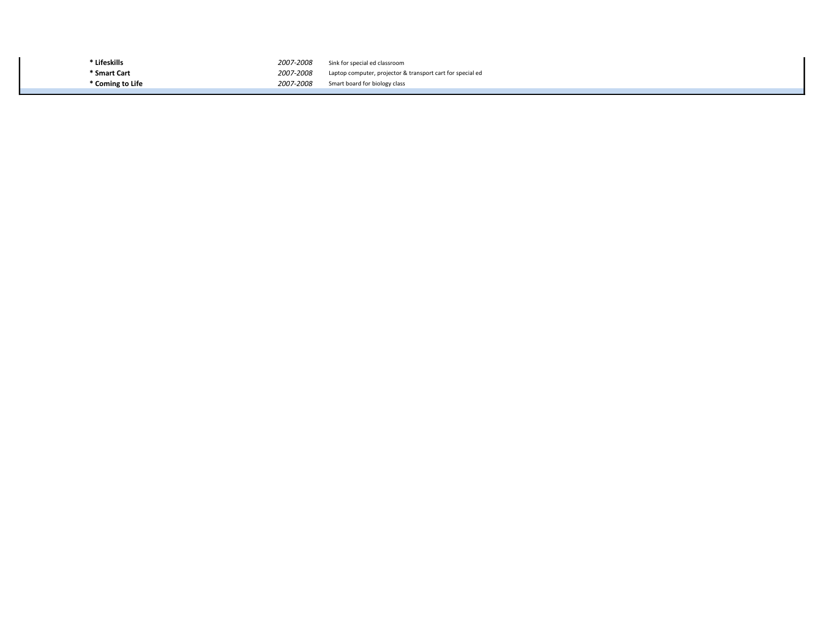\* Lifeskills 2007-2008 Sink for special ed classroom \* Smart Cart 2007-2008 Laptop computer, projector & transport cart for special ed<br>
2007-2008 Smart board for biology class Smart board for biology class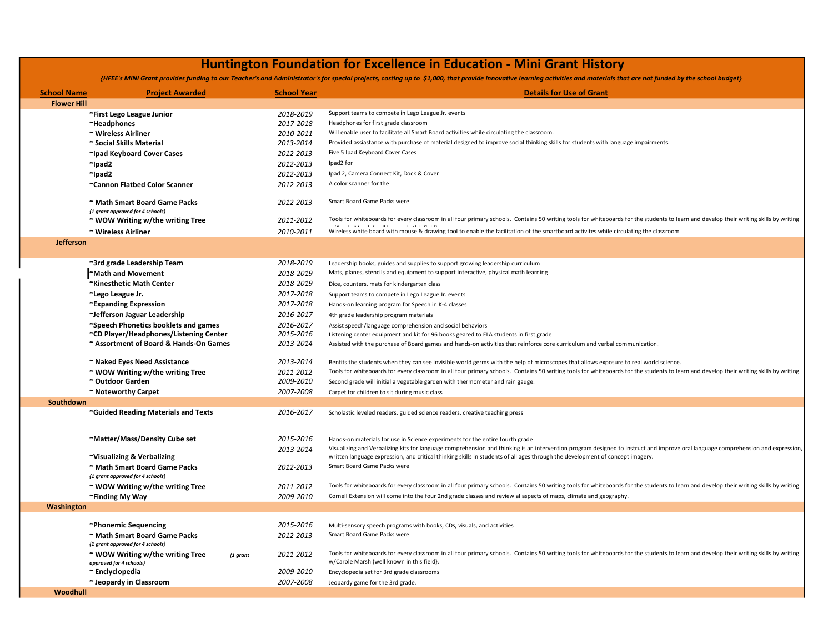## Huntington Foundation for Excellence in Education - Mini Grant History

{HFEE's MINI Grant provides funding to our Teacher's and Administrator's for special projects, costing up to \$1,000, that provide innovative learning activities and materials that are not funded by the school budget}

| <b>School Name</b> | <b>Project Awarded</b>                                                           |              | <b>School Year</b>     | <b>Details for Use of Grant</b>                                                                                                                                                        |
|--------------------|----------------------------------------------------------------------------------|--------------|------------------------|----------------------------------------------------------------------------------------------------------------------------------------------------------------------------------------|
| <b>Flower Hill</b> |                                                                                  |              |                        |                                                                                                                                                                                        |
|                    | ~First Lego League Junior                                                        |              | 2018-2019              | Support teams to compete in Lego League Jr. events                                                                                                                                     |
|                    | ~Headphones                                                                      |              | 2017-2018              | Headphones for first grade classroom                                                                                                                                                   |
|                    | ~ Wireless Airliner                                                              |              | 2010-2011              | Will enable user to facilitate all Smart Board activities while circulating the classroom.                                                                                             |
|                    | ~ Social Skills Material                                                         |              | 2013-2014              | Provided assiastance with purchase of material designed to improve social thinking skills for students with language impairments.                                                      |
|                    | ~Ipad Keyboard Cover Cases                                                       |              | 2012-2013              | Five 5 Ipad Keyboard Cover Cases                                                                                                                                                       |
|                    | $^{\sim}$ lpad2                                                                  |              | 2012-2013              | Ipad2 for                                                                                                                                                                              |
|                    | $^{\sim}$ lpad2                                                                  |              | 2012-2013              | Ipad 2, Camera Connect Kit, Dock & Cover                                                                                                                                               |
|                    | ~Cannon Flatbed Color Scanner                                                    |              | 2012-2013              | A color scanner for the                                                                                                                                                                |
|                    | ~ Math Smart Board Game Packs<br>{1 grant approved for 4 schools}                |              | 2012-2013              | Smart Board Game Packs were                                                                                                                                                            |
|                    | ~ WOW Writing w/the writing Tree                                                 |              | 2011-2012              | Tools for whiteboards for every classroom in all four primary schools. Contains 50 writing tools for whiteboards for the students to learn and develop their writing skills by writing |
|                    | ~ Wireless Airliner                                                              |              | 2010-2011              | contractor and state<br>Wireless white board with mouse & drawing tool to enable the facilitation of the smartboard activites while circulating the classroom                          |
| <b>Jefferson</b>   |                                                                                  |              |                        |                                                                                                                                                                                        |
|                    |                                                                                  |              |                        |                                                                                                                                                                                        |
|                    | ~3rd grade Leadership Team                                                       |              | 2018-2019              | Leadership books, guides and supplies to support growing leadership curriculum                                                                                                         |
|                    | Math and Movement                                                                |              | 2018-2019              | Mats, planes, stencils and equipment to support interactive, physical math learning                                                                                                    |
|                    | ~Kinesthetic Math Center                                                         |              | 2018-2019              | Dice, counters, mats for kindergarten class                                                                                                                                            |
|                    | ~Lego League Jr.                                                                 |              | 2017-2018              | Support teams to compete in Lego League Jr. events                                                                                                                                     |
|                    | ~Expanding Expression                                                            |              | 2017-2018              | Hands-on learning program for Speech in K-4 classes                                                                                                                                    |
|                    | ~Jefferson Jaguar Leadership                                                     |              | 2016-2017              | 4th grade leadership program materials                                                                                                                                                 |
|                    | ~Speech Phonetics booklets and games                                             |              | 2016-2017              | Assist speech/language comprehension and social behaviors                                                                                                                              |
|                    | ~CD Player/Headphones/Listening Center<br>~ Assortment of Board & Hands-On Games |              | 2015-2016<br>2013-2014 | Listening center equipment and kit for 96 books geared to ELA students in first grade                                                                                                  |
|                    |                                                                                  |              |                        | Assisted with the purchase of Board games and hands-on activities that reinforce core curriculum and verbal communication.                                                             |
|                    | ~ Naked Eyes Need Assistance                                                     |              | 2013-2014              | Benfits the students when they can see invisible world germs with the help of microscopes that allows exposure to real world science.                                                  |
|                    | $\sim$ WOW Writing w/the writing Tree                                            |              | 2011-2012              | Tools for whiteboards for every classroom in all four primary schools. Contains 50 writing tools for whiteboards for the students to learn and develop their writing skills by writing |
|                    | ~ Outdoor Garden                                                                 |              | 2009-2010              | Second grade will initial a vegetable garden with thermometer and rain gauge.                                                                                                          |
|                    | ~ Noteworthy Carpet                                                              |              | 2007-2008              | Carpet for children to sit during music class                                                                                                                                          |
| Southdown          |                                                                                  |              |                        |                                                                                                                                                                                        |
|                    | ~Guided Reading Materials and Texts                                              |              | 2016-2017              | Scholastic leveled readers, guided science readers, creative teaching press                                                                                                            |
|                    |                                                                                  |              |                        |                                                                                                                                                                                        |
|                    | ~Matter/Mass/Density Cube set                                                    |              | 2015-2016              | Hands-on materials for use in Science experiments for the entire fourth grade                                                                                                          |
|                    |                                                                                  |              | 2013-2014              | Visualizing and Verbalizing kits for language comprehension and thinking is an intervention program designed to instruct and improve oral language comprehension and expression,       |
|                    | ~Visualizing & Verbalizing                                                       |              |                        | written language expression, and critical thinking skills in students of all ages through the development of concept imagery.                                                          |
|                    | ~ Math Smart Board Game Packs                                                    |              | 2012-2013              | Smart Board Game Packs were                                                                                                                                                            |
|                    | {1 grant approved for 4 schools}                                                 |              |                        |                                                                                                                                                                                        |
|                    | ~ WOW Writing w/the writing Tree                                                 |              | 2011-2012              | Tools for whiteboards for every classroom in all four primary schools. Contains 50 writing tools for whiteboards for the students to learn and develop their writing skills by writing |
|                    | ~Finding My Way                                                                  |              | 2009-2010              | Cornell Extension will come into the four 2nd grade classes and review al aspects of maps, climate and geography.                                                                      |
| Washington         |                                                                                  |              |                        |                                                                                                                                                                                        |
|                    | ~Phonemic Sequencing                                                             |              | 2015-2016              | Multi-sensory speech programs with books, CDs, visuals, and activities                                                                                                                 |
|                    | ~ Math Smart Board Game Packs                                                    |              | 2012-2013              | Smart Board Game Packs were                                                                                                                                                            |
|                    | {1 grant approved for 4 schools}                                                 |              |                        |                                                                                                                                                                                        |
|                    | ~ WOW Writing w/the writing Tree                                                 | ${1 g}$ rant | 2011-2012              | Tools for whiteboards for every classroom in all four primary schools. Contains 50 writing tools for whiteboards for the students to learn and develop their writing skills by writing |
|                    | approved for 4 schools}                                                          |              |                        | w/Carole Marsh {well known in this field}.                                                                                                                                             |
|                    | ~ Enclyclopedia                                                                  |              | 2009-2010              | Encyclopedia set for 3rd grade classrooms                                                                                                                                              |
| Woodhull           | ~ Jeopardy in Classroom                                                          |              | 2007-2008              | Jeopardy game for the 3rd grade.                                                                                                                                                       |
|                    |                                                                                  |              |                        |                                                                                                                                                                                        |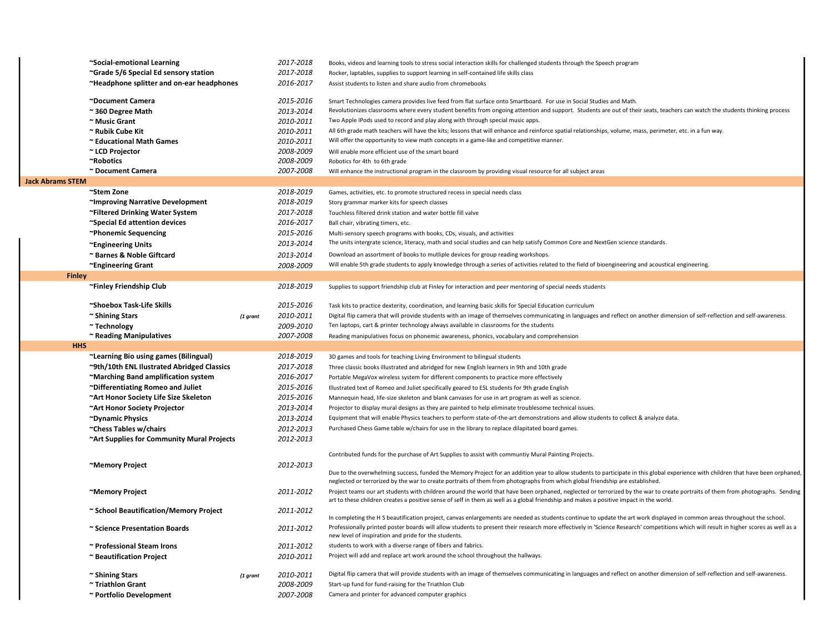|                         | ~Social-emotional Learning                                           |              | 2017-2018 | Books, videos and learning tools to stress social interaction skills for challenged students through the Speech program                                                                                                                                                                                                                                                                                                                                  |
|-------------------------|----------------------------------------------------------------------|--------------|-----------|----------------------------------------------------------------------------------------------------------------------------------------------------------------------------------------------------------------------------------------------------------------------------------------------------------------------------------------------------------------------------------------------------------------------------------------------------------|
|                         | ~Grade 5/6 Special Ed sensory station                                |              | 2017-2018 | Rocker, laptables, supplies to support learning in self-contained life skills class                                                                                                                                                                                                                                                                                                                                                                      |
|                         | ~Headphone splitter and on-ear headphones                            |              | 2016-2017 | Assist students to listen and share audio from chromebooks                                                                                                                                                                                                                                                                                                                                                                                               |
|                         | ~Document Camera                                                     |              | 2015-2016 | Smart Technologies camera provides live feed from flat surface onto Smartboard. For use in Social Studies and Math.                                                                                                                                                                                                                                                                                                                                      |
|                         | $\approx$ 360 Degree Math                                            |              | 2013-2014 | Revolutionizes classrooms where every student benefits from ongoing attention and support. Students are out of their seats, teachers can watch the students thinking process                                                                                                                                                                                                                                                                             |
|                         | ~ Music Grant                                                        |              | 2010-2011 | Two Apple IPods used to record and play along with through special music apps.                                                                                                                                                                                                                                                                                                                                                                           |
|                         | ~ Rubik Cube Kit                                                     |              | 2010-2011 | All 6th grade math teachers will have the kits; lessons that will enhance and reinforce spatial relationships, volume, mass, perimeter, etc. in a fun way.                                                                                                                                                                                                                                                                                               |
|                         | ~ Educational Math Games                                             |              | 2010-2011 | Will offer the opportunity to view math concepts in a game-like and competitive manner.                                                                                                                                                                                                                                                                                                                                                                  |
|                         | ~ LCD Projector                                                      |              | 2008-2009 | Will enable more efficient use of the smart board                                                                                                                                                                                                                                                                                                                                                                                                        |
|                         | ~Robotics                                                            |              | 2008-2009 | Robotics for 4th to 6th grade                                                                                                                                                                                                                                                                                                                                                                                                                            |
|                         | ~ Document Camera                                                    |              | 2007-2008 | Will enhance the instructional program in the classroom by providing visual resource for all subject areas                                                                                                                                                                                                                                                                                                                                               |
| <b>Jack Abrams STEM</b> |                                                                      |              |           |                                                                                                                                                                                                                                                                                                                                                                                                                                                          |
|                         | ~Stem Zone                                                           |              | 2018-2019 | Games, activities, etc. to promote structured recess in special needs class                                                                                                                                                                                                                                                                                                                                                                              |
|                         | ~Improving Narrative Development                                     |              | 2018-2019 | Story grammar marker kits for speech classes                                                                                                                                                                                                                                                                                                                                                                                                             |
|                         | ~Filtered Drinking Water System                                      |              | 2017-2018 | Touchless filtered drink station and water bottle fill valve                                                                                                                                                                                                                                                                                                                                                                                             |
|                         | ~Special Ed attention devices                                        |              | 2016-2017 | Ball chair, vibrating timers, etc.                                                                                                                                                                                                                                                                                                                                                                                                                       |
|                         | ~Phonemic Sequencing                                                 |              | 2015-2016 | Multi-sensory speech programs with books, CDs, visuals, and activities                                                                                                                                                                                                                                                                                                                                                                                   |
|                         |                                                                      |              | 2013-2014 | The units intergrate science, literacy, math and social studies and can help satisfy Common Core and NextGen science standards.                                                                                                                                                                                                                                                                                                                          |
|                         | ~Engineering Units                                                   |              |           | Download an assortment of books to mutliple devices for group reading workshops.                                                                                                                                                                                                                                                                                                                                                                         |
|                         | ~ Barnes & Noble Giftcard                                            |              | 2013-2014 | Will enable 5th grade students to apply knowledge through a series of activities related to the field of bioengineering and acoustical engineering.                                                                                                                                                                                                                                                                                                      |
|                         | ~Engineering Grant                                                   |              | 2008-2009 |                                                                                                                                                                                                                                                                                                                                                                                                                                                          |
| Finley                  |                                                                      |              |           |                                                                                                                                                                                                                                                                                                                                                                                                                                                          |
|                         | ~Finley Friendship Club                                              |              | 2018-2019 | Supplies to support friendship club at Finley for interaction and peer mentoring of special needs students                                                                                                                                                                                                                                                                                                                                               |
|                         | ~Shoebox Task-Life Skills                                            |              | 2015-2016 | Task kits to practice dexterity, coordination, and learning basic skills for Special Education curriculum                                                                                                                                                                                                                                                                                                                                                |
|                         | ~ Shining Stars                                                      | ${1 g}$ rant | 2010-2011 | Digital flip camera that will provide students with an image of themselves communicating in languages and reflect on another dimension of self-reflection and self-awareness.                                                                                                                                                                                                                                                                            |
|                         | ~ Technology                                                         |              | 2009-2010 | Ten laptops, cart & printer technology always available in classrooms for the students                                                                                                                                                                                                                                                                                                                                                                   |
|                         | ~ Reading Manipulatives                                              |              | 2007-2008 | Reading manipulatives focus on phonemic awareness, phonics, vocabulary and comprehension                                                                                                                                                                                                                                                                                                                                                                 |
| <b>HHS</b>              |                                                                      |              |           |                                                                                                                                                                                                                                                                                                                                                                                                                                                          |
|                         | ~Learning Bio using games (Bilingual)                                |              | 2018-2019 | 3D games and tools for teaching Living Environment to bilingual students                                                                                                                                                                                                                                                                                                                                                                                 |
|                         |                                                                      |              |           |                                                                                                                                                                                                                                                                                                                                                                                                                                                          |
|                         | ~9th/10th ENL Ilustrated Abridged Classics                           |              | 2017-2018 | Three classic books illustrated and abridged for new English learners in 9th and 10th grade                                                                                                                                                                                                                                                                                                                                                              |
|                         | ~Marching Band amplification system                                  |              | 2016-2017 | Portable MegaVox wireless system for different components to practice more effectively                                                                                                                                                                                                                                                                                                                                                                   |
|                         | ~Differentiating Romeo and Juliet                                    |              | 2015-2016 | Illustrated text of Romeo and Juliet specifically geared to ESL students for 9th grade English                                                                                                                                                                                                                                                                                                                                                           |
|                         | ~Art Honor Society Life Size Skeleton                                |              | 2015-2016 | Mannequin head, life-size skeleton and blank canvases for use in art program as well as science.                                                                                                                                                                                                                                                                                                                                                         |
|                         | ~Art Honor Society Projector                                         |              | 2013-2014 | Projector to display mural designs as they are painted to help eliminate troublesome technical issues.                                                                                                                                                                                                                                                                                                                                                   |
|                         | ~Dynamic Physics                                                     |              | 2013-2014 | Equipment that will enable Physics teachers to perform state-of-the-art demonstrations and allow students to collect & analyze data.                                                                                                                                                                                                                                                                                                                     |
|                         |                                                                      |              | 2012-2013 | Purchased Chess Game table w/chairs for use in the library to replace dilapitated board games.                                                                                                                                                                                                                                                                                                                                                           |
|                         | ~Chess Tables w/chairs<br>~Art Supplies for Community Mural Projects |              | 2012-2013 |                                                                                                                                                                                                                                                                                                                                                                                                                                                          |
|                         |                                                                      |              |           | Contributed funds for the purchase of Art Supplies to assist with communtiy Mural Painting Projects.                                                                                                                                                                                                                                                                                                                                                     |
|                         |                                                                      |              | 2012-2013 |                                                                                                                                                                                                                                                                                                                                                                                                                                                          |
|                         | ~Memory Project                                                      |              |           |                                                                                                                                                                                                                                                                                                                                                                                                                                                          |
|                         |                                                                      |              |           | neglected or terrorized by the war to create portraits of them from photographs from which global friendship are established.                                                                                                                                                                                                                                                                                                                            |
|                         | ~Memory Project                                                      |              | 2011-2012 | art to these children creates a positive sense of self in them as well as a global friendship and makes a positive impact in the world.                                                                                                                                                                                                                                                                                                                  |
|                         | ~ School Beautification/Memory Project                               |              | 2011-2012 |                                                                                                                                                                                                                                                                                                                                                                                                                                                          |
|                         |                                                                      |              |           | In completing the H S beautification project, canvas enlargements are needed as students continue to update the art work displayed in common areas throughout the school.<br>Professionally printed poster boards will allow students to present their research more effectively in 'Science Research' competitions which will result in higher scores as well as a                                                                                      |
|                         | ~ Science Presentation Boards                                        |              | 2011-2012 | new level of inspiration and pride for the students.                                                                                                                                                                                                                                                                                                                                                                                                     |
|                         | ~ Professional Steam Irons                                           |              | 2011-2012 | students to work with a diverse range of fibers and fabrics.                                                                                                                                                                                                                                                                                                                                                                                             |
|                         | ~ Beautification Project                                             |              | 2010-2011 | Due to the overwhelming success, funded the Memory Project for an addition year to allow students to participate in this global experience with children that have been orphaned,<br>Project teams our art students with children around the world that have been orphaned, neglected or terrorized by the war to create portraits of them from photographs. Sending<br>Project will add and replace art work around the school throughout the hallways. |
|                         | ~ Shining Stars                                                      |              | 2010-2011 | Digital flip camera that will provide students with an image of themselves communicating in languages and reflect on another dimension of self-reflection and self-awareness.                                                                                                                                                                                                                                                                            |
|                         | ~ Triathlon Grant                                                    | $\{1$ grant  | 2008-2009 | Start-up fund for fund-raising for the Triathlon Club                                                                                                                                                                                                                                                                                                                                                                                                    |
|                         | ~ Portfolio Development                                              |              | 2007-2008 | Camera and printer for advanced computer graphics                                                                                                                                                                                                                                                                                                                                                                                                        |